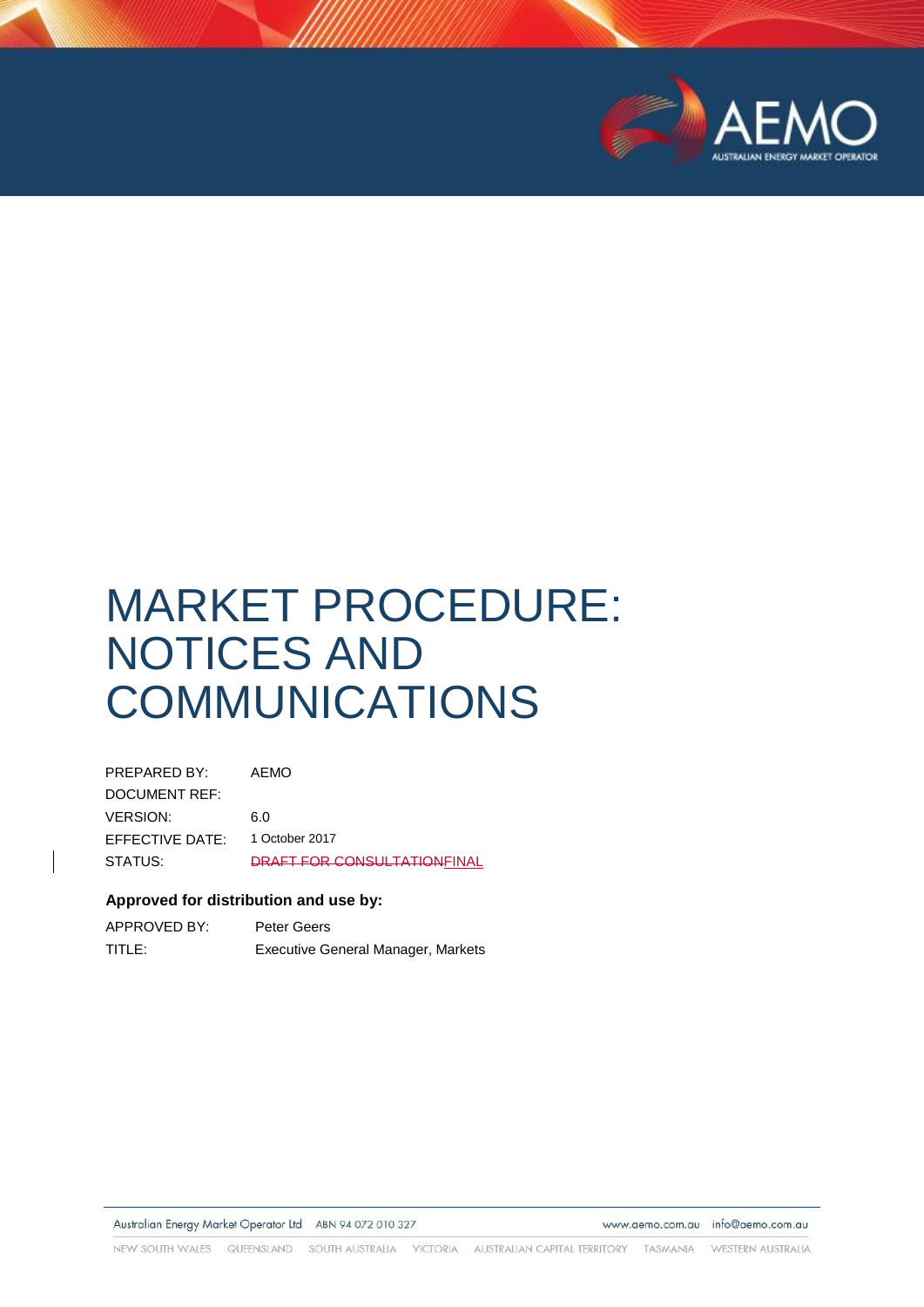

# MARKET PROCEDURE: NOTICES AND COMMUNICATIONS

| PREPARED BY:    | AEMO                               |
|-----------------|------------------------------------|
| DOCUMENT REF:   |                                    |
| <b>VERSION:</b> | 6.0                                |
| EFFECTIVE DATE: | 1 October 2017                     |
| STATUS:         | <b>DRAFT FOR CONSULTATIONFINAL</b> |

#### **Approved for distribution and use by:**

| APPROVED BY: | Peter Geers                        |
|--------------|------------------------------------|
| TITLE:       | Executive General Manager, Markets |

Australian Energy Market Operator Ltd ABN 94 072 010 327

www.aemo.com.au info@aemo.com.au

NEW SOUTH WALES QUEENSLAND SOUTH AUSTRALIA VICTORIA AUSTRALIAN CAPITAL TERRITORY TASMANIA WESTERN AUSTRALIA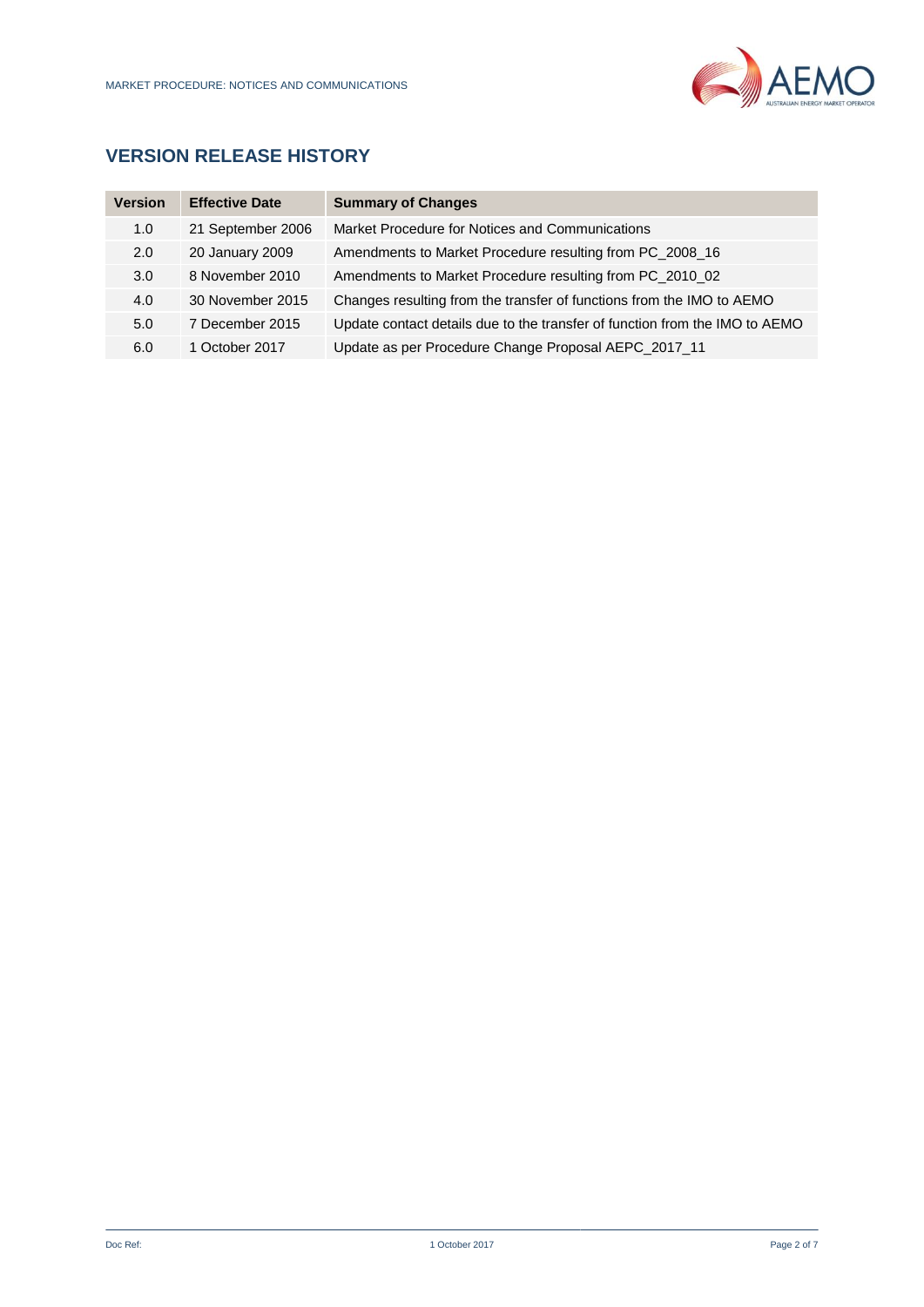

## **VERSION RELEASE HISTORY**

| <b>Version</b> | <b>Effective Date</b> | <b>Summary of Changes</b>                                                   |
|----------------|-----------------------|-----------------------------------------------------------------------------|
| 1.0            | 21 September 2006     | Market Procedure for Notices and Communications                             |
| 2.0            | 20 January 2009       | Amendments to Market Procedure resulting from PC_2008_16                    |
| 3.0            | 8 November 2010       | Amendments to Market Procedure resulting from PC 2010 02                    |
| 4.0            | 30 November 2015      | Changes resulting from the transfer of functions from the IMO to AEMO       |
| 5.0            | 7 December 2015       | Update contact details due to the transfer of function from the IMO to AEMO |
| 6.0            | 1 October 2017        | Update as per Procedure Change Proposal AEPC_2017_11                        |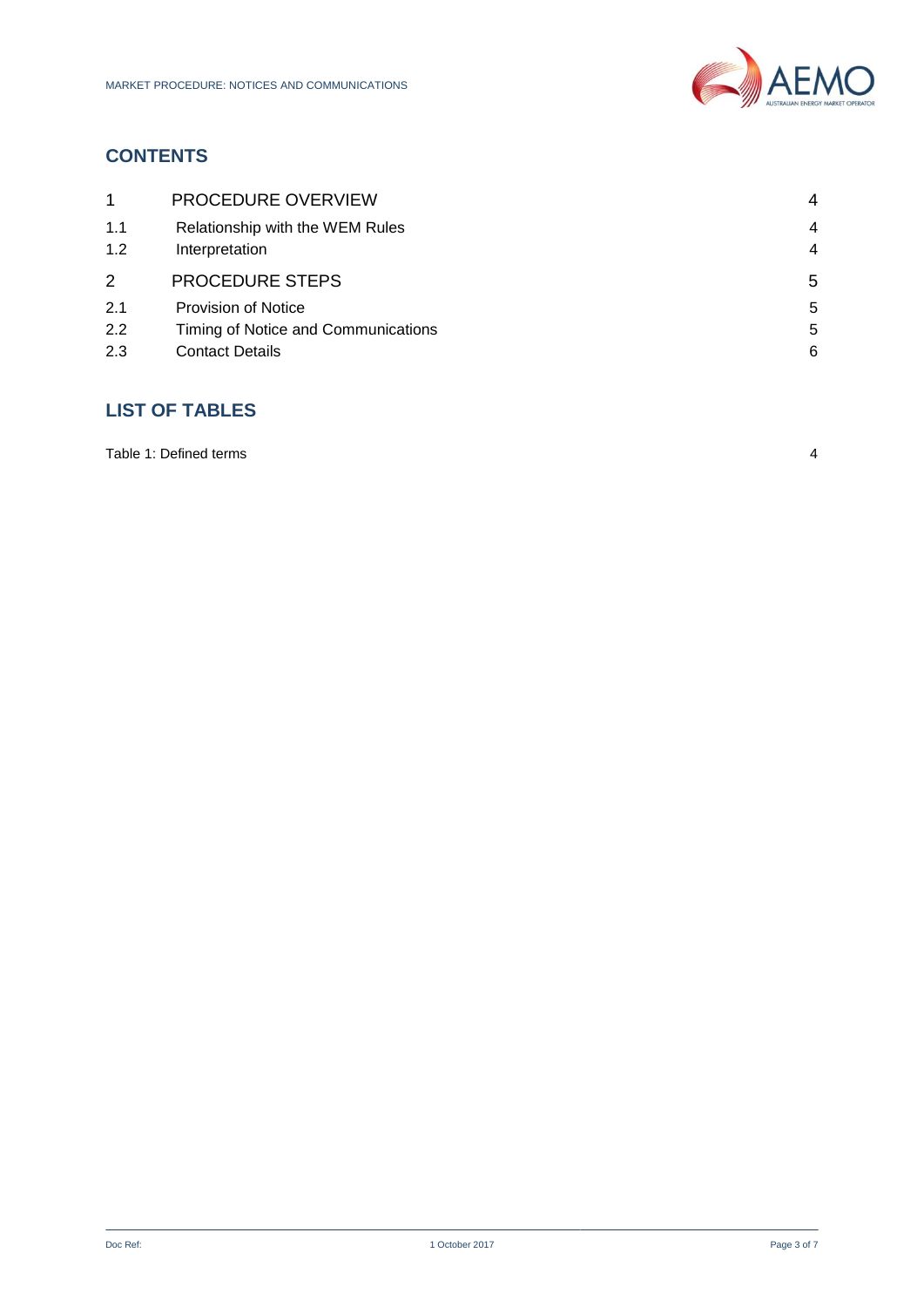

## **CONTENTS**

| $\mathbf 1$ | PROCEDURE OVERVIEW                  | 4              |
|-------------|-------------------------------------|----------------|
| 1.1         | Relationship with the WEM Rules     | $\overline{4}$ |
| 1.2         | Interpretation                      | $\overline{4}$ |
| 2           | <b>PROCEDURE STEPS</b>              | 5              |
| 2.1         | <b>Provision of Notice</b>          | 5              |
| 2.2         | Timing of Notice and Communications | 5              |
| 2.3         | <b>Contact Details</b>              | 6              |

# **LIST OF TABLES**

| Table 1: Defined terms |  |
|------------------------|--|
|                        |  |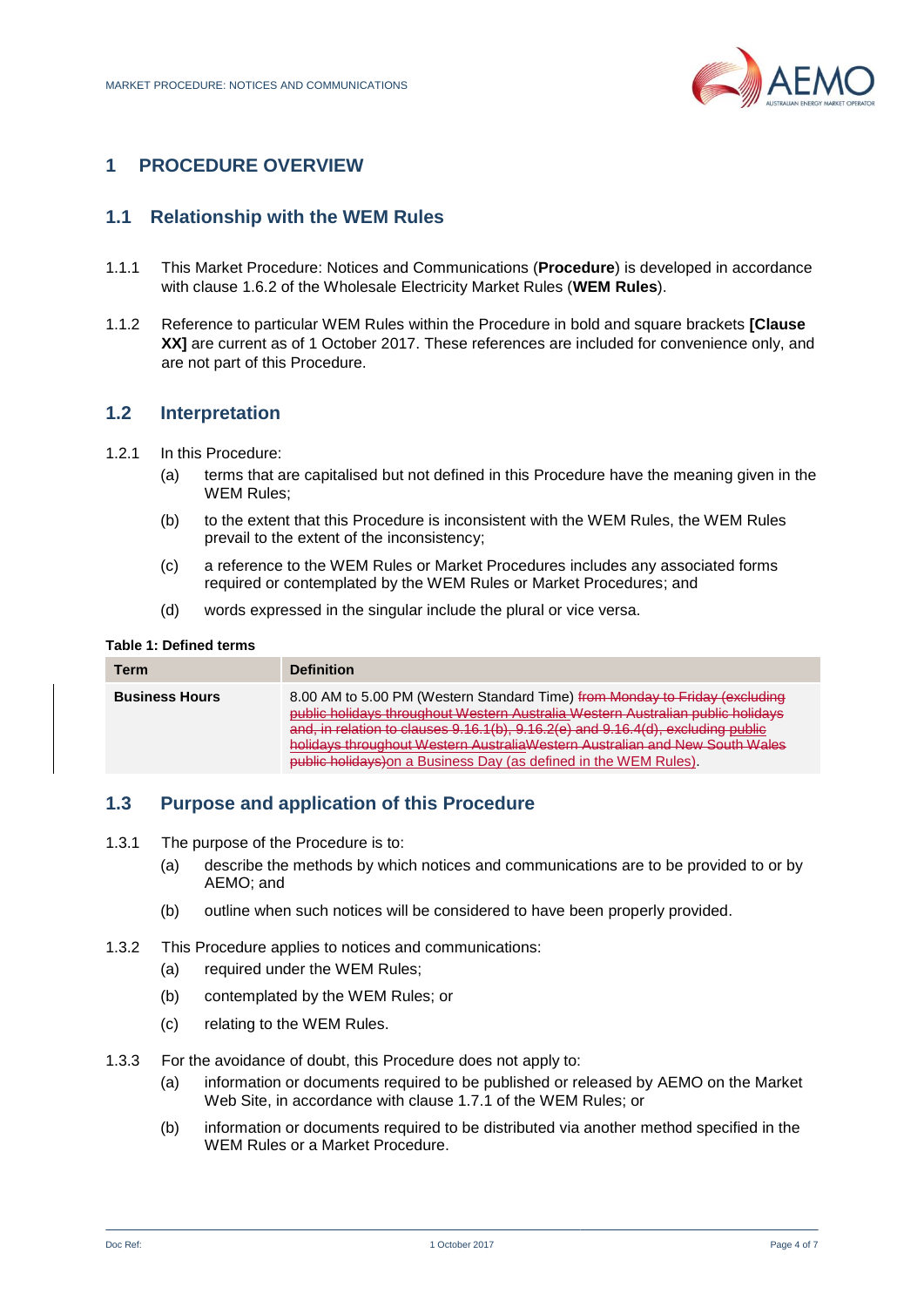

## <span id="page-3-0"></span>**1 PROCEDURE OVERVIEW**

## <span id="page-3-1"></span>**1.1 Relationship with the WEM Rules**

- 1.1.1 This Market Procedure: Notices and Communications (**Procedure**) is developed in accordance with clause 1.6.2 of the Wholesale Electricity Market Rules (**WEM Rules**).
- 1.1.2 Reference to particular WEM Rules within the Procedure in bold and square brackets **[Clause XX]** are current as of 1 October 2017. These references are included for convenience only, and are not part of this Procedure.

## <span id="page-3-2"></span>**1.2 Interpretation**

- 1.2.1 In this Procedure:
	- (a) terms that are capitalised but not defined in this Procedure have the meaning given in the WEM Rules;
	- (b) to the extent that this Procedure is inconsistent with the WEM Rules, the WEM Rules prevail to the extent of the inconsistency;
	- (c) a reference to the WEM Rules or Market Procedures includes any associated forms required or contemplated by the WEM Rules or Market Procedures; and
	- (d) words expressed in the singular include the plural or vice versa.

#### <span id="page-3-3"></span>**Table 1: Defined terms**

| Term                  | <b>Definition</b>                                                                                                                                                                                                                                                                                                                                                                                       |
|-----------------------|---------------------------------------------------------------------------------------------------------------------------------------------------------------------------------------------------------------------------------------------------------------------------------------------------------------------------------------------------------------------------------------------------------|
| <b>Business Hours</b> | 8.00 AM to 5.00 PM (Western Standard Time) from Monday to Friday (excluding<br>public holidays throughout Western Australia Western Australian public holidays<br>and, in relation to clauses 9.16.1(b), 9.16.2(e) and 9.16.4(d), excluding public<br>holidays throughout Western Australia Western Australian and New South Wales<br>public holidays) on a Business Day (as defined in the WEM Rules). |

## **1.3 Purpose and application of this Procedure**

- 1.3.1 The purpose of the Procedure is to:
	- (a) describe the methods by which notices and communications are to be provided to or by AEMO; and
	- (b) outline when such notices will be considered to have been properly provided.
- 1.3.2 This Procedure applies to notices and communications:
	- (a) required under the WEM Rules;
	- (b) contemplated by the WEM Rules; or
	- (c) relating to the WEM Rules.
- 1.3.3 For the avoidance of doubt, this Procedure does not apply to:
	- (a) information or documents required to be published or released by AEMO on the Market Web Site, in accordance with clause 1.7.1 of the WEM Rules; or
	- (b) information or documents required to be distributed via another method specified in the WEM Rules or a Market Procedure.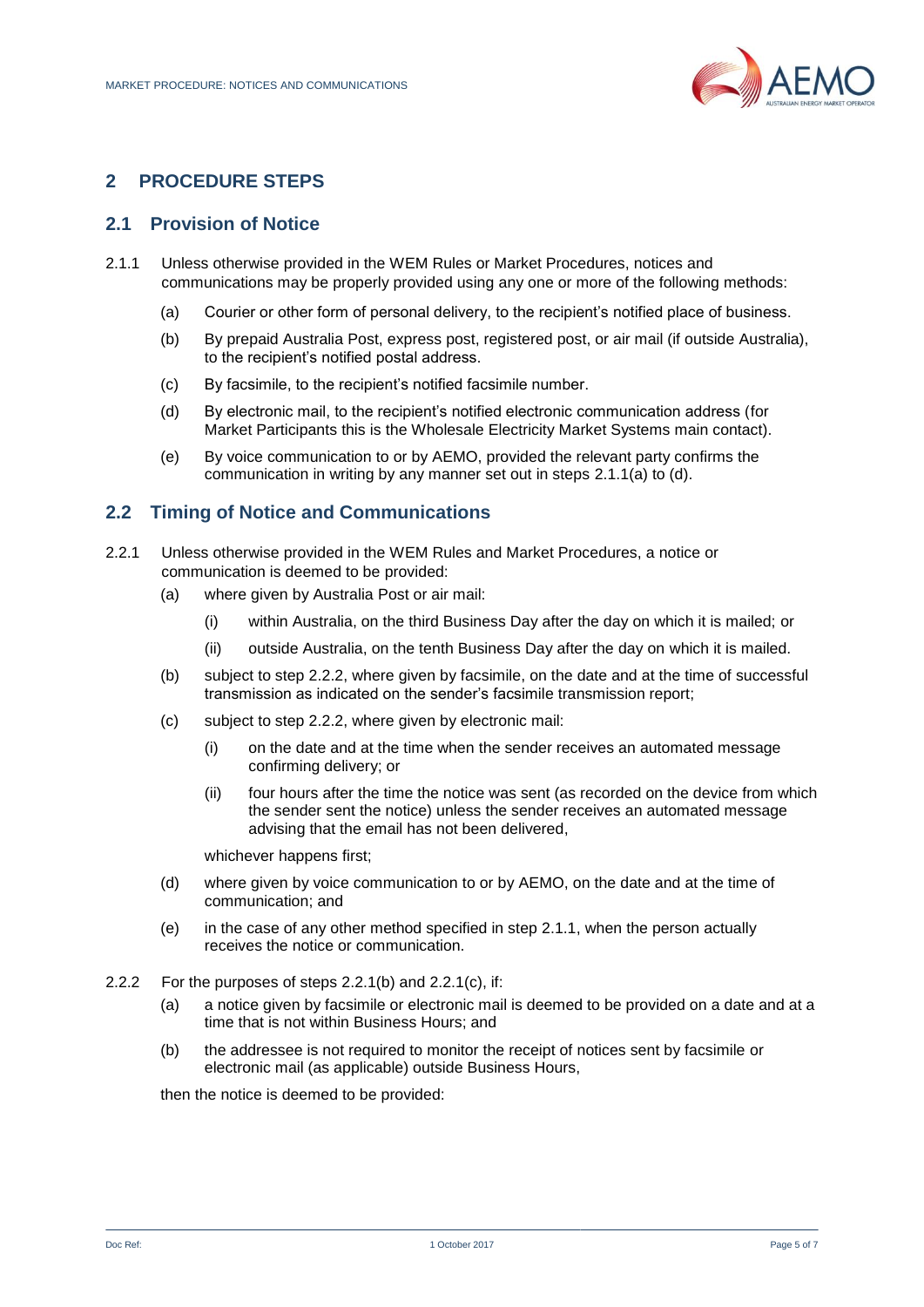

## <span id="page-4-0"></span>**2 PROCEDURE STEPS**

## <span id="page-4-1"></span>**2.1 Provision of Notice**

- <span id="page-4-3"></span>2.1.1 Unless otherwise provided in the WEM Rules or Market Procedures, notices and communications may be properly provided using any one or more of the following methods:
	- (a) Courier or other form of personal delivery, to the recipient's notified place of business.
	- (b) By prepaid Australia Post, express post, registered post, or air mail (if outside Australia), to the recipient's notified postal address.
	- (c) By facsimile, to the recipient's notified facsimile number.
	- (d) By electronic mail, to the recipient's notified electronic communication address (for Market Participants this is the Wholesale Electricity Market Systems main contact).
	- (e) By voice communication to or by AEMO, provided the relevant party confirms the communication in writing by any manner set out in steps [2.1.1\(a\)](#page-4-3) to [\(d\).](#page-4-4)

## <span id="page-4-4"></span><span id="page-4-2"></span>**2.2 Timing of Notice and Communications**

- <span id="page-4-6"></span>2.2.1 Unless otherwise provided in the WEM Rules and Market Procedures, a notice or communication is deemed to be provided:
	- (a) where given by Australia Post or air mail:
		- (i) within Australia, on the third Business Day after the day on which it is mailed; or
		- (ii) outside Australia, on the tenth Business Day after the day on which it is mailed.
	- (b) subject to step [2.2.2,](#page-4-5) where given by facsimile, on the date and at the time of successful transmission as indicated on the sender's facsimile transmission report;
	- (c) subject to step [2.2.2,](#page-4-5) where given by electronic mail:
		- (i) on the date and at the time when the sender receives an automated message confirming delivery; or
		- (ii) four hours after the time the notice was sent (as recorded on the device from which the sender sent the notice) unless the sender receives an automated message advising that the email has not been delivered,

whichever happens first;

- (d) where given by voice communication to or by AEMO, on the date and at the time of communication; and
- (e) in the case of any other method specified in step [2.1.1,](#page-4-3) when the person actually receives the notice or communication.
- <span id="page-4-5"></span>2.2.2 For the purposes of steps [2.2.1\(b\)](#page-4-6) and [2.2.1\(c\),](#page-4-6) if:
	- (a) a notice given by facsimile or electronic mail is deemed to be provided on a date and at a time that is not within Business Hours; and
	- (b) the addressee is not required to monitor the receipt of notices sent by facsimile or electronic mail (as applicable) outside Business Hours,

then the notice is deemed to be provided: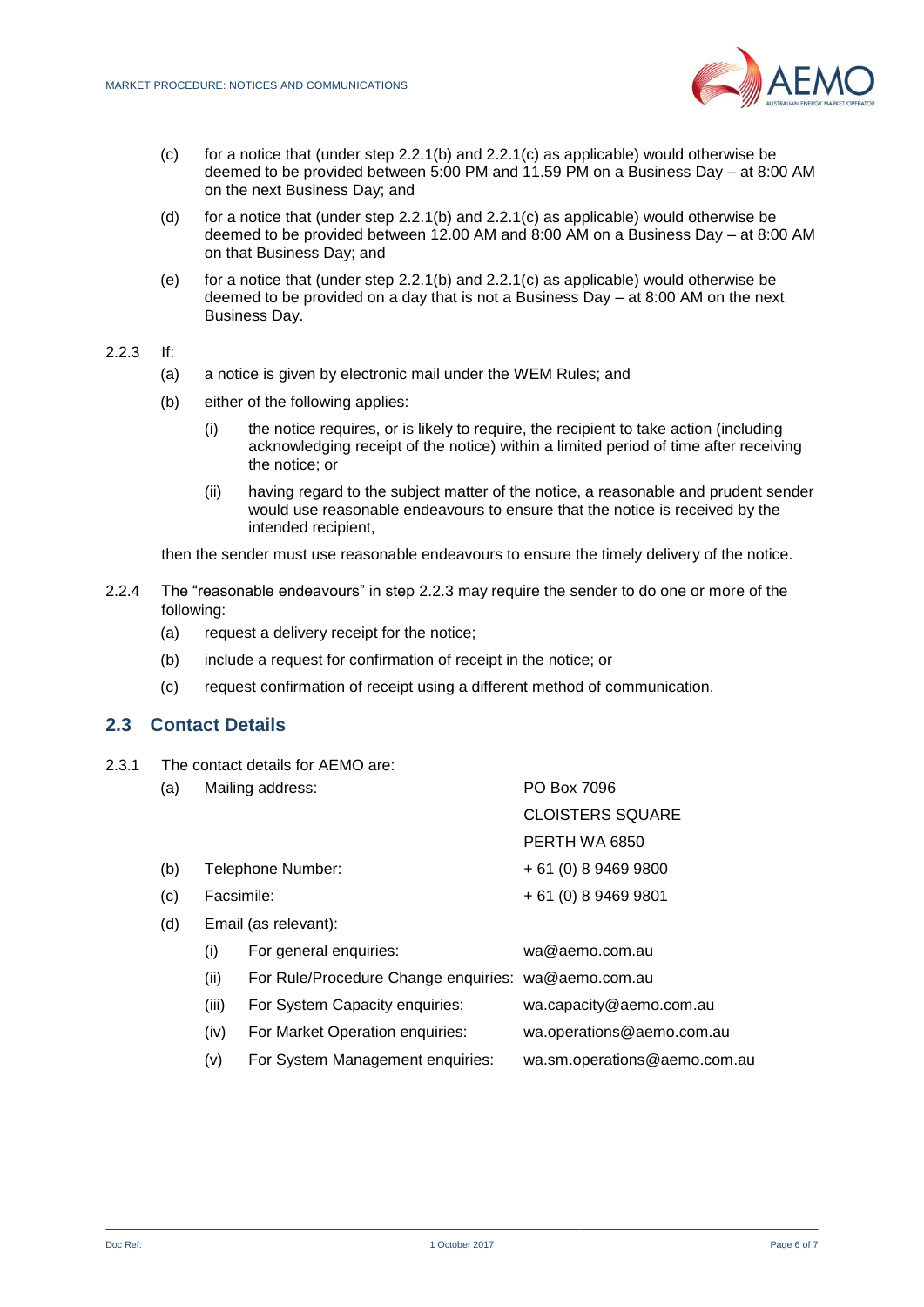

- (c) for a notice that (under step  $2.2.1(b)$  and  $2.2.1(c)$  as applicable) would otherwise be deemed to be provided between 5:00 PM and 11.59 PM on a Business Day - at 8:00 AM on the next Business Day; and
- (d) for a notice that (under step  $2.2.1(b)$  and  $2.2.1(c)$  as applicable) would otherwise be deemed to be provided between 12.00 AM and 8:00 AM on a Business Day – at 8:00 AM on that Business Day; and
- (e) for a notice that (under step  $2.2.1(b)$  and  $2.2.1(c)$  as applicable) would otherwise be deemed to be provided on a day that is not a Business Day – at 8:00 AM on the next Business Day.

### <span id="page-5-1"></span> $2.2.3$  If:

- (a) a notice is given by electronic mail under the WEM Rules; and
- (b) either of the following applies:
	- (i) the notice requires, or is likely to require, the recipient to take action (including acknowledging receipt of the notice) within a limited period of time after receiving the notice; or
	- (ii) having regard to the subject matter of the notice, a reasonable and prudent sender would use reasonable endeavours to ensure that the notice is received by the intended recipient,

then the sender must use reasonable endeavours to ensure the timely delivery of the notice.

- 2.2.4 The "reasonable endeavours" in step [2.2.3](#page-5-1) may require the sender to do one or more of the following:
	- (a) request a delivery receipt for the notice;
	- (b) include a request for confirmation of receipt in the notice; or
	- (c) request confirmation of receipt using a different method of communication.

#### <span id="page-5-0"></span>**2.3 Contact Details**

2.3.1 The contact details for AEMO are:

| (a) | Mailing address:     |                                                     | PO Box 7096                  |
|-----|----------------------|-----------------------------------------------------|------------------------------|
|     |                      |                                                     | <b>CLOISTERS SQUARE</b>      |
|     |                      |                                                     | PERTH WA 6850                |
| (b) | Telephone Number:    |                                                     | $+61(0)894699800$            |
| (c) | Facsimile:           |                                                     | $+61(0)894699801$            |
| (d) | Email (as relevant): |                                                     |                              |
|     | (i)                  | For general enquiries:                              | wa@aemo.com.au               |
|     | (ii)                 | For Rule/Procedure Change enquiries: wa@aemo.com.au |                              |
|     | (iii)                | For System Capacity enquiries:                      | wa.capacity@aemo.com.au      |
|     | (iv)                 | For Market Operation enquiries:                     | wa.operations@aemo.com.au    |
|     | (v)                  | For System Management enquiries:                    | wa.sm.operations@aemo.com.au |